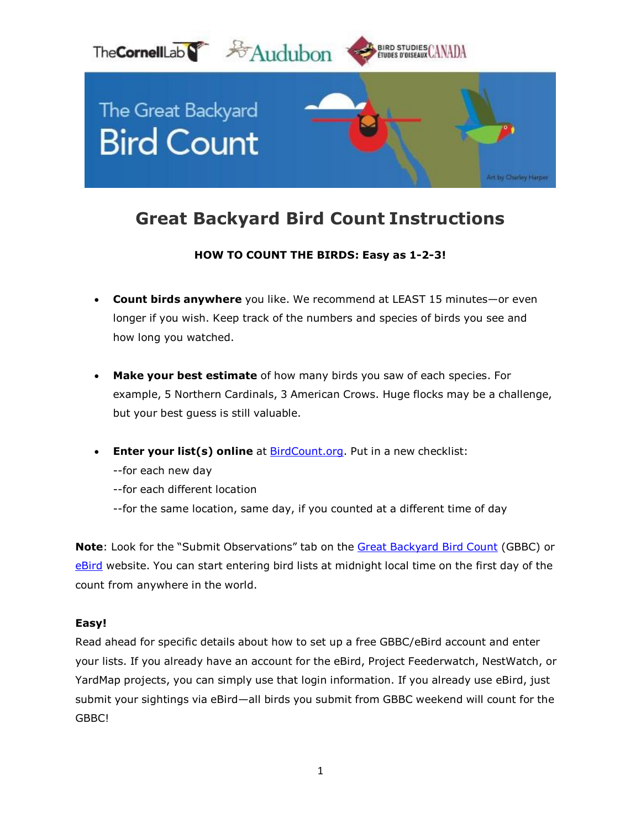

# **Great Backyard Bird Count Instructions**

## **HOW TO COUNT THE BIRDS: Easy as 1-2-3!**

- **Count birds anywhere** you like. We recommend at LEAST 15 minutes—or even longer if you wish. Keep track of the numbers and species of birds you see and how long you watched.
- **Make your best estimate** of how many birds you saw of each species. For example, 5 Northern Cardinals, 3 American Crows. Huge flocks may be a challenge, but your best guess is still valuable.
- **Enter your list(s) online** at [BirdCount.org.](http://www.birdcount.org/) Put in a new checklist:
	- --for each new day
	- --for each different location
	- --for the same location, same day, if you counted at a different time of day

**Note**: Look for the "Submit Observations" tab on the Great [Backyard](http://www.birdcount.org/) Bird Count (GBBC) or [eBird](http://www.ebird.org/) website. You can start entering bird lists at midnight local time on the first day of the count from anywhere in the world.

#### **Easy!**

Read ahead for specific details about how to set up a free GBBC/eBird account and enter your lists. If you already have an account for the eBird, Project Feederwatch, NestWatch, or YardMap projects, you can simply use that login information. If you already use eBird, just submit your sightings via eBird—all birds you submit from GBBC weekend will count for the GBBC!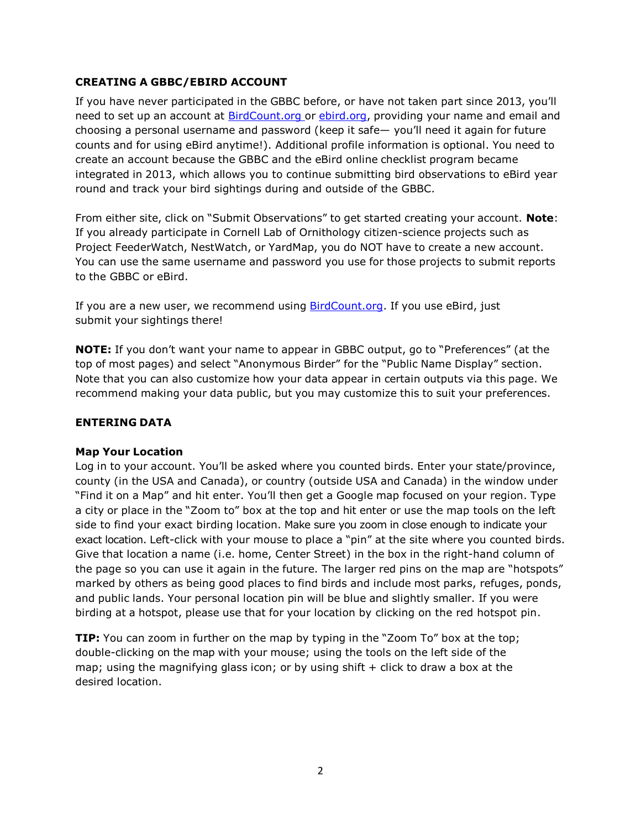## **CREATING A GBBC/EBIRD ACCOUNT**

If you have never participated in the GBBC before, or have not taken part since 2013, you'll need to set up an account at **BirdCount.org or [ebird.org,](http://www.ebird.org/) providing your name and email and** choosing a personal username and password (keep it safe— you'll need it again for future counts and for using eBird anytime!). Additional profile information is optional. You need to create an account because the GBBC and the eBird online checklist program became integrated in 2013, which allows you to continue submitting bird observations to eBird year round and track your bird sightings during and outside of the GBBC.

From either site, click on "Submit Observations" to get started creating your account. **Note**: If you already participate in Cornell Lab of Ornithology citizen-science projects such as Project FeederWatch, NestWatch, or YardMap, you do NOT have to create a new account. You can use the same username and password you use for those projects to submit reports to the GBBC or eBird.

If you are a new user, we recommend using **BirdCount.org**. If you use eBird, just submit your sightings there!

**NOTE:** If you don't want your name to appear in GBBC output, go to "Preferences" (at the top of most pages) and select "Anonymous Birder" for the "Public Name Display" section. Note that you can also customize how your data appear in certain outputs via this page. We recommend making your data public, but you may customize this to suit your preferences.

#### **ENTERING DATA**

#### **Map Your Location**

Log in to your account. You'll be asked where you counted birds. Enter your state/province, county (in the USA and Canada), or country (outside USA and Canada) in the window under "Find it on a Map" and hit enter. You'll then get a Google map focused on your region. Type a city or place in the "Zoom to" box at the top and hit enter or use the map tools on the left side to find your exact birding location. Make sure you zoom in close enough to indicate your exact location. Left-click with your mouse to place a "pin" at the site where you counted birds. Give that location a name (i.e. home, Center Street) in the box in the right-hand column of the page so you can use it again in the future. The larger red pins on the map are "hotspots" marked by others as being good places to find birds and include most parks, refuges, ponds, and public lands. Your personal location pin will be blue and slightly smaller. If you were birding at a hotspot, please use that for your location by clicking on the red hotspot pin.

**TIP:** You can zoom in further on the map by typing in the "Zoom To" box at the top; double-clicking on the map with your mouse; using the tools on the left side of the map; using the magnifying glass icon; or by using shift + click to draw a box at the desired location.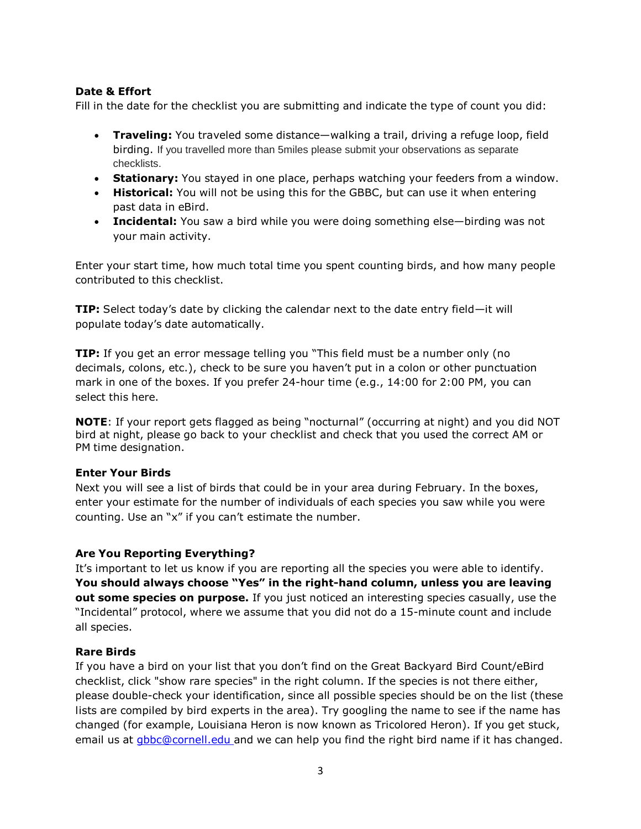## **Date & Effort**

Fill in the date for the checklist you are submitting and indicate the type of count you did:

- **Traveling:** You traveled some distance—walking a trail, driving a refuge loop, field birding. If you travelled more than 5miles please submit your observations as separate checklists.
- **Stationary:** You stayed in one place, perhaps watching your feeders from a window.
- **Historical:** You will not be using this for the GBBC, but can use it when entering past data in eBird.
- **Incidental:** You saw a bird while you were doing something else—birding was not your main activity.

Enter your start time, how much total time you spent counting birds, and how many people contributed to this checklist.

**TIP:** Select today's date by clicking the calendar next to the date entry field—it will populate today's date automatically.

**TIP:** If you get an error message telling you "This field must be a number only (no decimals, colons, etc.), check to be sure you haven't put in a colon or other punctuation mark in one of the boxes. If you prefer 24-hour time (e.g., 14:00 for 2:00 PM, you can select this here.

**NOTE**: If your report gets flagged as being "nocturnal" (occurring at night) and you did NOT bird at night, please go back to your checklist and check that you used the correct AM or PM time designation.

#### **Enter Your Birds**

Next you will see a list of birds that could be in your area during February. In the boxes, enter your estimate for the number of individuals of each species you saw while you were counting. Use an "x" if you can't estimate the number.

## **Are You Reporting Everything?**

It's important to let us know if you are reporting all the species you were able to identify. **You should always choose "Yes" in the right-hand column, unless you are leaving out some species on purpose.** If you just noticed an interesting species casually, use the "Incidental" protocol, where we assume that you did not do a 15-minute count and include all species.

#### **Rare Birds**

If you have a bird on your list that you don't find on the Great Backyard Bird Count/eBird checklist, click "show rare species" in the right column. If the species is not there either, please double-check your identification, since all possible species should be on the list (these lists are compiled by bird experts in the area). Try googling the name to see if the name has changed (for example, Louisiana Heron is now known as Tricolored Heron). If you get stuck, email us at [gbbc@cornell.edu](mailto:gbbc@cornell.edu) and we can help you find the right bird name if it has changed.